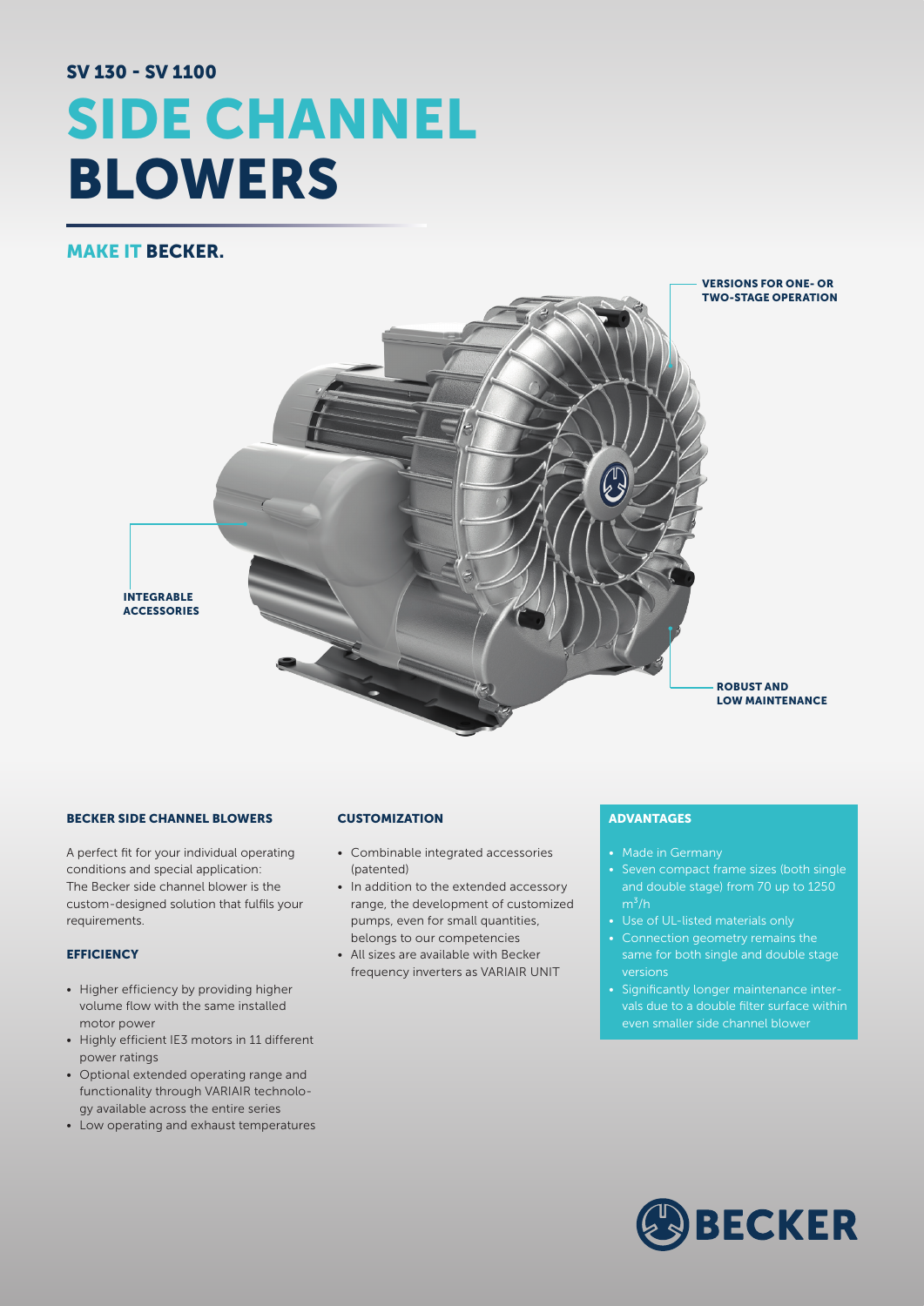# SV 130 - SV 1100 SIDE CHANNEL BLOWERS

## MAKE IT BECKER.



#### BECKER SIDE CHANNEL BLOWERS

A perfect fit for your individual operating conditions and special application: The Becker side channel blower is the custom-designed solution that fulfils your requirements.

#### **EFFICIENCY**

- Higher efficiency by providing higher volume flow with the same installed motor power
- Highly efficient IE3 motors in 11 different power ratings
- Optional extended operating range and functionality through VARIAIR technology available across the entire series
- Low operating and exhaust temperatures

#### **CUSTOMIZATION**

- Combinable integrated accessories (patented)
- In addition to the extended accessory range, the development of customized pumps, even for small quantities, belongs to our competencies
- All sizes are available with Becker frequency inverters as VARIAIR UNIT

### ADVANTAGES

- Made in Germany
- Seven compact frame sizes (both single and double stage) from 70 up to 1250  $m^3/h$
- Use of UL-listed materials only
- Connection geometry remains the same for both single and double stage versions
- Significantly longer maintenance intervals due to a double filter surface within even smaller side channel blower